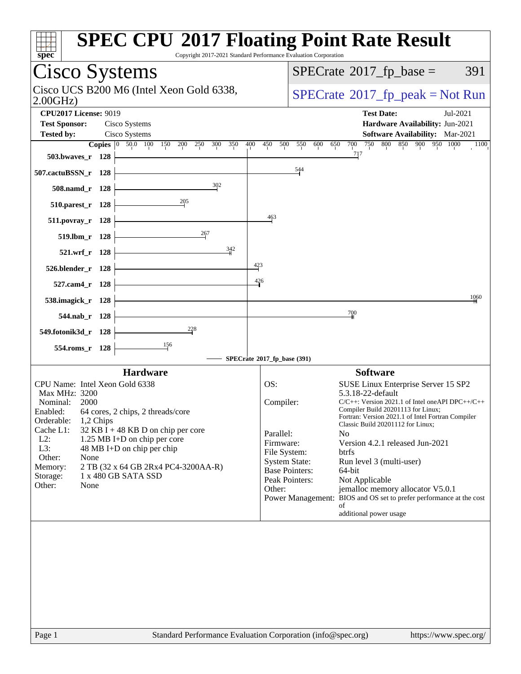| Cisco Systems                     |           |                                                                                  |                                      |                       | $SPECrate^{\circledast}2017$ _fp_base =                                                                 | 391  |
|-----------------------------------|-----------|----------------------------------------------------------------------------------|--------------------------------------|-----------------------|---------------------------------------------------------------------------------------------------------|------|
| 2.00GHz                           |           | Cisco UCS B200 M6 (Intel Xeon Gold 6338,                                         |                                      |                       | $SPECrate^{\circ}2017$ [p_peak = Not Run                                                                |      |
| <b>CPU2017 License: 9019</b>      |           |                                                                                  |                                      |                       | <b>Test Date:</b><br>Jul-2021                                                                           |      |
| <b>Test Sponsor:</b>              |           | Cisco Systems                                                                    |                                      |                       | Hardware Availability: Jun-2021                                                                         |      |
| <b>Tested by:</b>                 |           | Cisco Systems<br><b>Copies</b> 0 50.0 100 150<br>400<br>200<br>250<br>300<br>350 | 450<br>500                           | 550<br>600            | <b>Software Availability:</b> Mar-2021<br>800 850 900 950 1000<br>700<br>750<br>650                     | 1100 |
| 503.bwaves_r 128                  |           |                                                                                  |                                      |                       | 717                                                                                                     |      |
| 507.cactuBSSN_r 128               |           |                                                                                  |                                      | 544                   |                                                                                                         |      |
| 508.namd_r 128                    |           | 302                                                                              |                                      |                       |                                                                                                         |      |
| 510.parest_r 128                  |           | $\frac{205}{1}$                                                                  |                                      |                       |                                                                                                         |      |
| $511. povray_r$ 128               |           |                                                                                  | 463                                  |                       |                                                                                                         |      |
| 519.lbm_r 128                     |           | 267                                                                              |                                      |                       |                                                                                                         |      |
| 521.wrf_r 128                     |           | 342                                                                              |                                      |                       |                                                                                                         |      |
| 526.blender_r 128                 |           |                                                                                  | $\frac{423}{5}$                      |                       |                                                                                                         |      |
| 527.cam4_r 128                    |           |                                                                                  | $\frac{426}{4}$                      |                       |                                                                                                         |      |
| 538.imagick_r 128                 |           |                                                                                  |                                      |                       |                                                                                                         | 1060 |
| 544.nab_r 128                     |           |                                                                                  |                                      |                       | $\frac{700}{4}$                                                                                         |      |
| 549.fotonik3d_r 128               |           | $\frac{228}{5}$                                                                  |                                      |                       |                                                                                                         |      |
|                                   |           | 156                                                                              |                                      |                       |                                                                                                         |      |
| 554.roms_r 128                    |           |                                                                                  | SPECrate®2017_fp_base (391)          |                       |                                                                                                         |      |
|                                   |           | <b>Hardware</b>                                                                  |                                      |                       | <b>Software</b>                                                                                         |      |
| CPU Name: Intel Xeon Gold 6338    |           |                                                                                  | OS:                                  |                       | SUSE Linux Enterprise Server 15 SP2                                                                     |      |
| Max MHz: 3200<br>Nominal:<br>2000 |           |                                                                                  | Compiler:                            |                       | 5.3.18-22-default<br>$C/C++$ : Version 2021.1 of Intel one API DPC++/C++                                |      |
| Orderable:                        | 1,2 Chips | Enabled: 64 cores, 2 chips, 2 threads/core                                       |                                      |                       | Compiler Build 20201113 for Linux;<br>Fortran: Version 2021.1 of Intel Fortran Compiler                 |      |
| Cache L1:                         |           | $32$ KB I + 48 KB D on chip per core                                             | Parallel:                            |                       | Classic Build 20201112 for Linux;<br>N <sub>0</sub>                                                     |      |
| $L2$ :<br>L3:                     |           | 1.25 MB I+D on chip per core<br>48 MB I+D on chip per chip                       | Firmware:                            |                       | Version 4.2.1 released Jun-2021                                                                         |      |
| Other:<br>None                    |           |                                                                                  | File System:<br><b>System State:</b> |                       | <b>btrfs</b><br>Run level 3 (multi-user)                                                                |      |
| Memory:<br>Storage:               |           | 2 TB (32 x 64 GB 2Rx4 PC4-3200AA-R)<br>1 x 480 GB SATA SSD                       |                                      | <b>Base Pointers:</b> | 64-bit                                                                                                  |      |
| Other:<br>None                    |           |                                                                                  |                                      | Peak Pointers:        | Not Applicable                                                                                          |      |
|                                   |           |                                                                                  | Other:                               |                       | jemalloc memory allocator V5.0.1<br>Power Management: BIOS and OS set to prefer performance at the cost |      |
|                                   |           |                                                                                  |                                      |                       | οf                                                                                                      |      |
|                                   |           |                                                                                  |                                      |                       | additional power usage                                                                                  |      |
|                                   |           |                                                                                  |                                      |                       |                                                                                                         |      |
|                                   |           |                                                                                  |                                      |                       |                                                                                                         |      |
|                                   |           |                                                                                  |                                      |                       |                                                                                                         |      |
|                                   |           |                                                                                  |                                      |                       |                                                                                                         |      |
|                                   |           |                                                                                  |                                      |                       |                                                                                                         |      |
|                                   |           |                                                                                  |                                      |                       |                                                                                                         |      |
|                                   |           |                                                                                  |                                      |                       |                                                                                                         |      |
|                                   |           |                                                                                  |                                      |                       |                                                                                                         |      |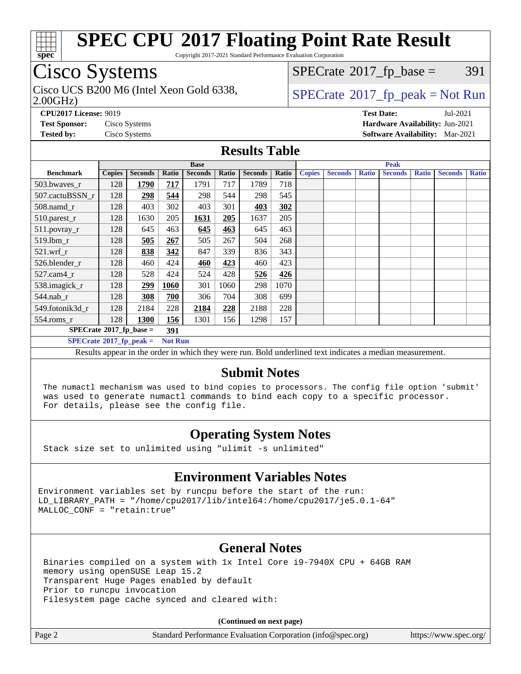

Copyright 2017-2021 Standard Performance Evaluation Corporation

### Cisco Systems

2.00GHz) Cisco UCS B200 M6 (Intel Xeon Gold 6338,  $\vert$  [SPECrate](http://www.spec.org/auto/cpu2017/Docs/result-fields.html#SPECrate2017fppeak)®[2017\\_fp\\_peak = N](http://www.spec.org/auto/cpu2017/Docs/result-fields.html#SPECrate2017fppeak)ot Run

 $SPECTate@2017_fp\_base = 391$ 

**[CPU2017 License:](http://www.spec.org/auto/cpu2017/Docs/result-fields.html#CPU2017License)** 9019 **[Test Date:](http://www.spec.org/auto/cpu2017/Docs/result-fields.html#TestDate)** Jul-2021 **[Test Sponsor:](http://www.spec.org/auto/cpu2017/Docs/result-fields.html#TestSponsor)** Cisco Systems **[Hardware Availability:](http://www.spec.org/auto/cpu2017/Docs/result-fields.html#HardwareAvailability)** Jun-2021 **[Tested by:](http://www.spec.org/auto/cpu2017/Docs/result-fields.html#Testedby)** Cisco Systems **[Software Availability:](http://www.spec.org/auto/cpu2017/Docs/result-fields.html#SoftwareAvailability)** Mar-2021

#### **[Results Table](http://www.spec.org/auto/cpu2017/Docs/result-fields.html#ResultsTable)**

|                                   | <b>Base</b>   |                |                |                |       | <b>Peak</b>    |       |               |                |              |                |              |                |              |
|-----------------------------------|---------------|----------------|----------------|----------------|-------|----------------|-------|---------------|----------------|--------------|----------------|--------------|----------------|--------------|
| <b>Benchmark</b>                  | <b>Copies</b> | <b>Seconds</b> | Ratio          | <b>Seconds</b> | Ratio | <b>Seconds</b> | Ratio | <b>Copies</b> | <b>Seconds</b> | <b>Ratio</b> | <b>Seconds</b> | <b>Ratio</b> | <b>Seconds</b> | <b>Ratio</b> |
| 503.bwayes_r                      | 128           | 1790           | 717            | 1791           | 717   | 1789           | 718   |               |                |              |                |              |                |              |
| 507.cactuBSSN r                   | 128           | 298            | 544            | 298            | 544   | 298            | 545   |               |                |              |                |              |                |              |
| $508$ .namd $r$                   | 128           | 403            | 302            | 403            | 301   | 403            | 302   |               |                |              |                |              |                |              |
| 510.parest_r                      | 128           | 1630           | 205            | 1631           | 205   | 1637           | 205   |               |                |              |                |              |                |              |
| 511.povray_r                      | 128           | 645            | 463            | 645            | 463   | 645            | 463   |               |                |              |                |              |                |              |
| 519.1bm_r                         | 128           | 505            | 267            | 505            | 267   | 504            | 268   |               |                |              |                |              |                |              |
| $521$ .wrf r                      | 128           | 838            | 342            | 847            | 339   | 836            | 343   |               |                |              |                |              |                |              |
| 526.blender r                     | 128           | 460            | 424            | 460            | 423   | 460            | 423   |               |                |              |                |              |                |              |
| $527$ .cam $4r$                   | 128           | 528            | 424            | 524            | 428   | 526            | 426   |               |                |              |                |              |                |              |
| 538.imagick_r                     | 128           | 299            | 1060           | 301            | 1060  | 298            | 1070  |               |                |              |                |              |                |              |
| $544$ .nab r                      | 128           | 308            | 700            | 306            | 704   | 308            | 699   |               |                |              |                |              |                |              |
| 549.fotonik3d_r                   | 128           | 2184           | 228            | 2184           | 228   | 2188           | 228   |               |                |              |                |              |                |              |
| $554$ .roms_r                     | 128           | 1300           | 156            | 1301           | 156   | 1298           | 157   |               |                |              |                |              |                |              |
| $SPECrate^{\circ}2017$ fp base =  |               |                | 391            |                |       |                |       |               |                |              |                |              |                |              |
| $SPECrate^{\circ}2017_fp\_peak =$ |               |                | <b>Not Run</b> |                |       |                |       |               |                |              |                |              |                |              |

Results appear in the [order in which they were run](http://www.spec.org/auto/cpu2017/Docs/result-fields.html#RunOrder). Bold underlined text [indicates a median measurement.](http://www.spec.org/auto/cpu2017/Docs/result-fields.html#Median)

#### **[Submit Notes](http://www.spec.org/auto/cpu2017/Docs/result-fields.html#SubmitNotes)**

 The numactl mechanism was used to bind copies to processors. The config file option 'submit' was used to generate numactl commands to bind each copy to a specific processor. For details, please see the config file.

### **[Operating System Notes](http://www.spec.org/auto/cpu2017/Docs/result-fields.html#OperatingSystemNotes)**

Stack size set to unlimited using "ulimit -s unlimited"

### **[Environment Variables Notes](http://www.spec.org/auto/cpu2017/Docs/result-fields.html#EnvironmentVariablesNotes)**

Environment variables set by runcpu before the start of the run: LD\_LIBRARY\_PATH = "/home/cpu2017/lib/intel64:/home/cpu2017/je5.0.1-64" MALLOC\_CONF = "retain:true"

### **[General Notes](http://www.spec.org/auto/cpu2017/Docs/result-fields.html#GeneralNotes)**

 Binaries compiled on a system with 1x Intel Core i9-7940X CPU + 64GB RAM memory using openSUSE Leap 15.2 Transparent Huge Pages enabled by default Prior to runcpu invocation Filesystem page cache synced and cleared with:

**(Continued on next page)**

Page 2 Standard Performance Evaluation Corporation [\(info@spec.org\)](mailto:info@spec.org) <https://www.spec.org/>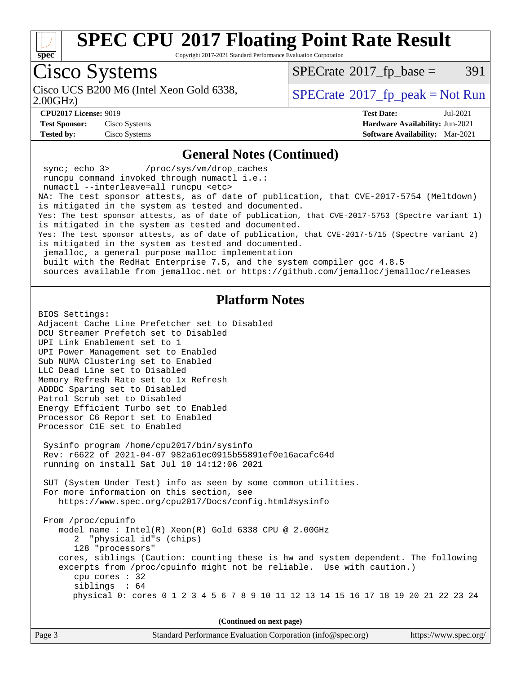

Copyright 2017-2021 Standard Performance Evaluation Corporation

# Cisco Systems

Cisco UCS B200 M6 (Intel Xeon Gold 6338,<br>2.00GHz)

 $SPECTate@2017_fp\_base = 391$ 

 $SPECTate$ <sup>®</sup>[2017\\_fp\\_peak = N](http://www.spec.org/auto/cpu2017/Docs/result-fields.html#SPECrate2017fppeak)ot Run

**[Test Sponsor:](http://www.spec.org/auto/cpu2017/Docs/result-fields.html#TestSponsor)** Cisco Systems **[Hardware Availability:](http://www.spec.org/auto/cpu2017/Docs/result-fields.html#HardwareAvailability)** Jun-2021 **[Tested by:](http://www.spec.org/auto/cpu2017/Docs/result-fields.html#Testedby)** Cisco Systems **[Software Availability:](http://www.spec.org/auto/cpu2017/Docs/result-fields.html#SoftwareAvailability)** Mar-2021

**[CPU2017 License:](http://www.spec.org/auto/cpu2017/Docs/result-fields.html#CPU2017License)** 9019 **[Test Date:](http://www.spec.org/auto/cpu2017/Docs/result-fields.html#TestDate)** Jul-2021

#### **[General Notes \(Continued\)](http://www.spec.org/auto/cpu2017/Docs/result-fields.html#GeneralNotes)**

 sync; echo 3> /proc/sys/vm/drop\_caches runcpu command invoked through numactl i.e.: numactl --interleave=all runcpu <etc> NA: The test sponsor attests, as of date of publication, that CVE-2017-5754 (Meltdown) is mitigated in the system as tested and documented. Yes: The test sponsor attests, as of date of publication, that CVE-2017-5753 (Spectre variant 1) is mitigated in the system as tested and documented. Yes: The test sponsor attests, as of date of publication, that CVE-2017-5715 (Spectre variant 2) is mitigated in the system as tested and documented. jemalloc, a general purpose malloc implementation built with the RedHat Enterprise 7.5, and the system compiler gcc 4.8.5 sources available from jemalloc.net or<https://github.com/jemalloc/jemalloc/releases> **[Platform Notes](http://www.spec.org/auto/cpu2017/Docs/result-fields.html#PlatformNotes)** BIOS Settings: Adjacent Cache Line Prefetcher set to Disabled DCU Streamer Prefetch set to Disabled UPI Link Enablement set to 1

UPI Power Management set to Enabled Sub NUMA Clustering set to Enabled LLC Dead Line set to Disabled Memory Refresh Rate set to 1x Refresh ADDDC Sparing set to Disabled Patrol Scrub set to Disabled Energy Efficient Turbo set to Enabled Processor C6 Report set to Enabled Processor C1E set to Enabled

 Sysinfo program /home/cpu2017/bin/sysinfo Rev: r6622 of 2021-04-07 982a61ec0915b55891ef0e16acafc64d running on install Sat Jul 10 14:12:06 2021

 SUT (System Under Test) info as seen by some common utilities. For more information on this section, see <https://www.spec.org/cpu2017/Docs/config.html#sysinfo>

 From /proc/cpuinfo model name : Intel(R) Xeon(R) Gold 6338 CPU @ 2.00GHz 2 "physical id"s (chips) 128 "processors" cores, siblings (Caution: counting these is hw and system dependent. The following excerpts from /proc/cpuinfo might not be reliable. Use with caution.) cpu cores : 32 siblings : 64 physical 0: cores 0 1 2 3 4 5 6 7 8 9 10 11 12 13 14 15 16 17 18 19 20 21 22 23 24

**(Continued on next page)**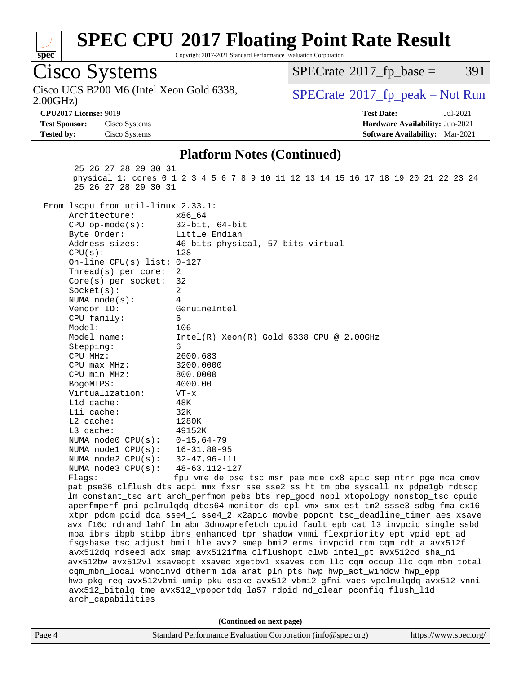

Copyright 2017-2021 Standard Performance Evaluation Corporation

| Cisco Systems                                                                                                                      |                                                                                                                                                                   | $SPECTate$ <sup>®</sup> 2017_fp_base = | 391                                                           |  |  |  |  |
|------------------------------------------------------------------------------------------------------------------------------------|-------------------------------------------------------------------------------------------------------------------------------------------------------------------|----------------------------------------|---------------------------------------------------------------|--|--|--|--|
| Cisco UCS B200 M6 (Intel Xeon Gold 6338,<br>2.00GHz                                                                                |                                                                                                                                                                   |                                        | $SPECrate^{\circ}2017rfp peak = Not Run$                      |  |  |  |  |
| <b>CPU2017 License: 9019</b>                                                                                                       |                                                                                                                                                                   | <b>Test Date:</b>                      | Jul-2021                                                      |  |  |  |  |
| <b>Test Sponsor:</b><br>Cisco Systems                                                                                              |                                                                                                                                                                   |                                        | Hardware Availability: Jun-2021                               |  |  |  |  |
| <b>Tested by:</b><br>Cisco Systems                                                                                                 |                                                                                                                                                                   |                                        | Software Availability: Mar-2021                               |  |  |  |  |
|                                                                                                                                    |                                                                                                                                                                   |                                        |                                                               |  |  |  |  |
| <b>Platform Notes (Continued)</b>                                                                                                  |                                                                                                                                                                   |                                        |                                                               |  |  |  |  |
| 25 26 27 28 29 30 31<br>physical 1: cores 0 1 2 3 4 5 6 7 8 9 10 11 12 13 14 15 16 17 18 19 20 21 22 23 24<br>25 26 27 28 29 30 31 |                                                                                                                                                                   |                                        |                                                               |  |  |  |  |
| From lscpu from util-linux 2.33.1:                                                                                                 |                                                                                                                                                                   |                                        |                                                               |  |  |  |  |
| Architecture:<br>x86 64                                                                                                            |                                                                                                                                                                   |                                        |                                                               |  |  |  |  |
| $CPU$ op-mode( $s$ ):                                                                                                              | $32$ -bit, $64$ -bit                                                                                                                                              |                                        |                                                               |  |  |  |  |
| Byte Order:                                                                                                                        | Little Endian                                                                                                                                                     |                                        |                                                               |  |  |  |  |
| Address sizes:                                                                                                                     | 46 bits physical, 57 bits virtual                                                                                                                                 |                                        |                                                               |  |  |  |  |
| CPU(s):<br>128                                                                                                                     |                                                                                                                                                                   |                                        |                                                               |  |  |  |  |
| On-line CPU(s) list: $0-127$                                                                                                       |                                                                                                                                                                   |                                        |                                                               |  |  |  |  |
| Thread( $s$ ) per core:<br>2                                                                                                       |                                                                                                                                                                   |                                        |                                                               |  |  |  |  |
| Core(s) per socket:<br>32                                                                                                          |                                                                                                                                                                   |                                        |                                                               |  |  |  |  |
| Socket(s):<br>2                                                                                                                    |                                                                                                                                                                   |                                        |                                                               |  |  |  |  |
| NUMA $node(s)$ :<br>4                                                                                                              |                                                                                                                                                                   |                                        |                                                               |  |  |  |  |
| Vendor ID:                                                                                                                         | GenuineIntel                                                                                                                                                      |                                        |                                                               |  |  |  |  |
| CPU family:<br>6                                                                                                                   |                                                                                                                                                                   |                                        |                                                               |  |  |  |  |
| Model:<br>106                                                                                                                      |                                                                                                                                                                   |                                        |                                                               |  |  |  |  |
| Model name:                                                                                                                        | $Intel(R) Xeon(R) Gold 6338 CPU @ 2.00GHz$                                                                                                                        |                                        |                                                               |  |  |  |  |
| 6<br>Stepping:                                                                                                                     |                                                                                                                                                                   |                                        |                                                               |  |  |  |  |
| CPU MHz:                                                                                                                           | 2600.683                                                                                                                                                          |                                        |                                                               |  |  |  |  |
| CPU max MHz:<br>CPU min MHz:                                                                                                       | 3200.0000                                                                                                                                                         |                                        |                                                               |  |  |  |  |
|                                                                                                                                    | 800.0000<br>4000.00                                                                                                                                               |                                        |                                                               |  |  |  |  |
| BogoMIPS:<br>Virtualization:<br>$VT - x$                                                                                           |                                                                                                                                                                   |                                        |                                                               |  |  |  |  |
| Lld cache:<br>48K                                                                                                                  |                                                                                                                                                                   |                                        |                                                               |  |  |  |  |
| Lli cache:<br>32K                                                                                                                  |                                                                                                                                                                   |                                        |                                                               |  |  |  |  |
| $L2$ cache:<br>1280K                                                                                                               |                                                                                                                                                                   |                                        |                                                               |  |  |  |  |
| L3 cache:                                                                                                                          | 49152K                                                                                                                                                            |                                        |                                                               |  |  |  |  |
| NUMA node0 CPU(s):                                                                                                                 | $0 - 15, 64 - 79$                                                                                                                                                 |                                        |                                                               |  |  |  |  |
| NUMA nodel CPU(s):                                                                                                                 | $16 - 31, 80 - 95$                                                                                                                                                |                                        |                                                               |  |  |  |  |
| NUMA node2 CPU(s):                                                                                                                 | $32 - 47, 96 - 111$                                                                                                                                               |                                        |                                                               |  |  |  |  |
| NUMA $node3$ $CPU(s):$                                                                                                             | $48 - 63, 112 - 127$                                                                                                                                              |                                        |                                                               |  |  |  |  |
| Flags:                                                                                                                             |                                                                                                                                                                   |                                        | fpu vme de pse tsc msr pae mce cx8 apic sep mtrr pge mca cmov |  |  |  |  |
| pat pse36 clflush dts acpi mmx fxsr sse sse2 ss ht tm pbe syscall nx pdpe1gb rdtscp                                                |                                                                                                                                                                   |                                        |                                                               |  |  |  |  |
| lm constant_tsc art arch_perfmon pebs bts rep_good nopl xtopology nonstop_tsc cpuid                                                |                                                                                                                                                                   |                                        |                                                               |  |  |  |  |
|                                                                                                                                    | aperfmperf pni pclmulqdq dtes64 monitor ds_cpl vmx smx est tm2 ssse3 sdbg fma cx16                                                                                |                                        |                                                               |  |  |  |  |
| xtpr pdcm pcid dca sse4_1 sse4_2 x2apic movbe popcnt tsc_deadline_timer aes xsave                                                  |                                                                                                                                                                   |                                        |                                                               |  |  |  |  |
| avx f16c rdrand lahf_lm abm 3dnowprefetch cpuid_fault epb cat_13 invpcid_single ssbd                                               |                                                                                                                                                                   |                                        |                                                               |  |  |  |  |
| mba ibrs ibpb stibp ibrs_enhanced tpr_shadow vnmi flexpriority ept vpid ept_ad                                                     |                                                                                                                                                                   |                                        |                                                               |  |  |  |  |
| fsgsbase tsc_adjust bmil hle avx2 smep bmi2 erms invpcid rtm cqm rdt_a avx512f                                                     |                                                                                                                                                                   |                                        |                                                               |  |  |  |  |
|                                                                                                                                    | avx512dq rdseed adx smap avx512ifma clflushopt clwb intel_pt avx512cd sha_ni                                                                                      |                                        |                                                               |  |  |  |  |
|                                                                                                                                    | avx512bw avx512vl xsaveopt xsavec xgetbvl xsaves cqm_llc cqm_occup_llc cqm_mbm_total<br>cqm_mbm_local wbnoinvd dtherm ida arat pln pts hwp hwp_act_window hwp_epp |                                        |                                                               |  |  |  |  |
|                                                                                                                                    |                                                                                                                                                                   |                                        |                                                               |  |  |  |  |
| hwp_pkg_req avx512vbmi umip pku ospke avx512_vbmi2 gfni vaes vpclmulqdq avx512_vnni                                                |                                                                                                                                                                   |                                        |                                                               |  |  |  |  |
| avx512_bitalg tme avx512_vpopcntdq la57 rdpid md_clear pconfig flush_l1d                                                           |                                                                                                                                                                   |                                        |                                                               |  |  |  |  |
| arch_capabilities                                                                                                                  |                                                                                                                                                                   |                                        |                                                               |  |  |  |  |
|                                                                                                                                    |                                                                                                                                                                   |                                        |                                                               |  |  |  |  |
|                                                                                                                                    | (Continued on next page)                                                                                                                                          |                                        |                                                               |  |  |  |  |
|                                                                                                                                    |                                                                                                                                                                   |                                        |                                                               |  |  |  |  |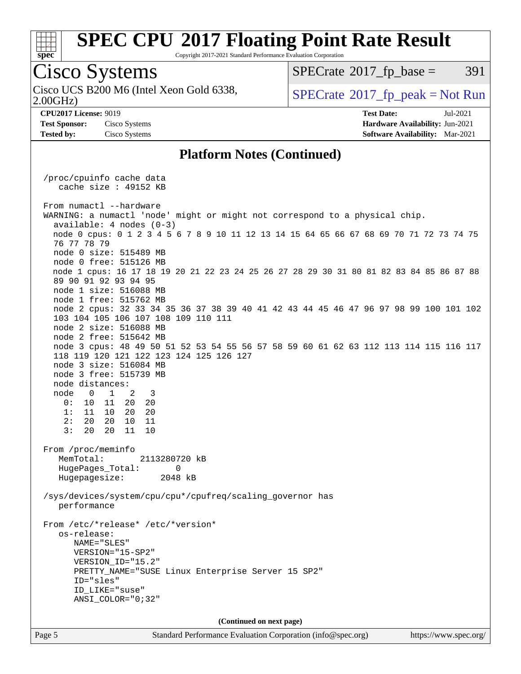

Copyright 2017-2021 Standard Performance Evaluation Corporation

### Cisco Systems

2.00GHz) Cisco UCS B200 M6 (Intel Xeon Gold 6338,  $\vert$  [SPECrate](http://www.spec.org/auto/cpu2017/Docs/result-fields.html#SPECrate2017fppeak)®[2017\\_fp\\_peak = N](http://www.spec.org/auto/cpu2017/Docs/result-fields.html#SPECrate2017fppeak)ot Run

 $SPECTate@2017_fp\_base = 391$ 

**[Tested by:](http://www.spec.org/auto/cpu2017/Docs/result-fields.html#Testedby)** Cisco Systems **[Software Availability:](http://www.spec.org/auto/cpu2017/Docs/result-fields.html#SoftwareAvailability)** Mar-2021

**[CPU2017 License:](http://www.spec.org/auto/cpu2017/Docs/result-fields.html#CPU2017License)** 9019 **[Test Date:](http://www.spec.org/auto/cpu2017/Docs/result-fields.html#TestDate)** Jul-2021 **[Test Sponsor:](http://www.spec.org/auto/cpu2017/Docs/result-fields.html#TestSponsor)** Cisco Systems **[Hardware Availability:](http://www.spec.org/auto/cpu2017/Docs/result-fields.html#HardwareAvailability)** Jun-2021

### **[Platform Notes \(Continued\)](http://www.spec.org/auto/cpu2017/Docs/result-fields.html#PlatformNotes)**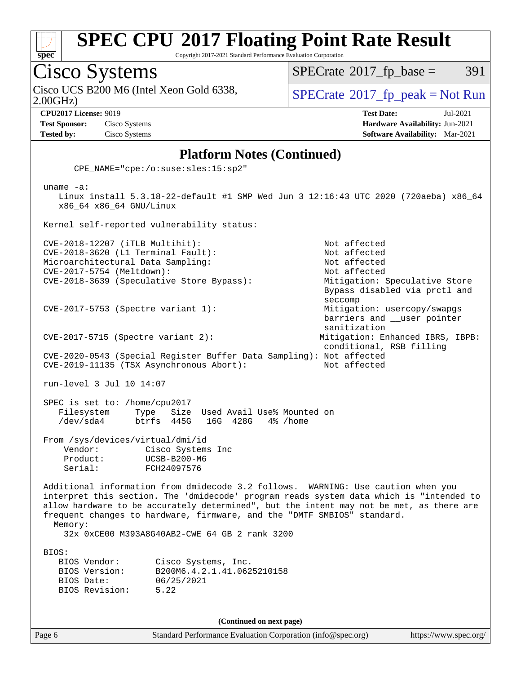

Copyright 2017-2021 Standard Performance Evaluation Corporation

Cisco Systems

 $SPECTate@2017_fp\_base = 391$ 

Cisco UCS B200 M6 (Intel Xeon Gold 6338,  $\vert$  [SPECrate](http://www.spec.org/auto/cpu2017/Docs/result-fields.html#SPECrate2017fppeak)®[2017\\_fp\\_peak = N](http://www.spec.org/auto/cpu2017/Docs/result-fields.html#SPECrate2017fppeak)ot Run

2.00GHz)

**[CPU2017 License:](http://www.spec.org/auto/cpu2017/Docs/result-fields.html#CPU2017License)** 9019 **[Test Date:](http://www.spec.org/auto/cpu2017/Docs/result-fields.html#TestDate)** Jul-2021 **[Test Sponsor:](http://www.spec.org/auto/cpu2017/Docs/result-fields.html#TestSponsor)** Cisco Systems **[Hardware Availability:](http://www.spec.org/auto/cpu2017/Docs/result-fields.html#HardwareAvailability)** Jun-2021 **[Tested by:](http://www.spec.org/auto/cpu2017/Docs/result-fields.html#Testedby)** Cisco Systems **[Software Availability:](http://www.spec.org/auto/cpu2017/Docs/result-fields.html#SoftwareAvailability)** Mar-2021

#### **[Platform Notes \(Continued\)](http://www.spec.org/auto/cpu2017/Docs/result-fields.html#PlatformNotes)**

CPE\_NAME="cpe:/o:suse:sles:15:sp2"

 uname -a: Linux install 5.3.18-22-default #1 SMP Wed Jun 3 12:16:43 UTC 2020 (720aeba) x86\_64 x86\_64 x86\_64 GNU/Linux Kernel self-reported vulnerability status: CVE-2018-12207 (iTLB Multihit): Not affected CVE-2018-3620 (L1 Terminal Fault): Not affected Microarchitectural Data Sampling: Not affected CVE-2017-5754 (Meltdown): Not affected CVE-2018-3639 (Speculative Store Bypass): Mitigation: Speculative Store Bypass disabled via prctl and seccomp CVE-2017-5753 (Spectre variant 1): Mitigation: usercopy/swapgs barriers and \_\_user pointer sanitization CVE-2017-5715 (Spectre variant 2): Mitigation: Enhanced IBRS, IBPB: conditional, RSB filling CVE-2020-0543 (Special Register Buffer Data Sampling): Not affected CVE-2019-11135 (TSX Asynchronous Abort): Not affected run-level 3 Jul 10 14:07 SPEC is set to: /home/cpu2017 Filesystem Type Size Used Avail Use% Mounted on<br>
/dev/sda4 btrfs 445G 16G 428G 4% /home /dev/sda4 btrfs 445G 16G 428G 4% /home From /sys/devices/virtual/dmi/id Vendor: Cisco Systems Inc Product: UCSB-B200-M6 Serial: FCH24097576 Additional information from dmidecode 3.2 follows. WARNING: Use caution when you interpret this section. The 'dmidecode' program reads system data which is "intended to allow hardware to be accurately determined", but the intent may not be met, as there are frequent changes to hardware, firmware, and the "DMTF SMBIOS" standard. Memory: 32x 0xCE00 M393A8G40AB2-CWE 64 GB 2 rank 3200 BIOS: BIOS Vendor: Cisco Systems, Inc. BIOS Version: B200M6.4.2.1.41.0625210158 BIOS Date: 06/25/2021 BIOS Revision: 5.22

**(Continued on next page)**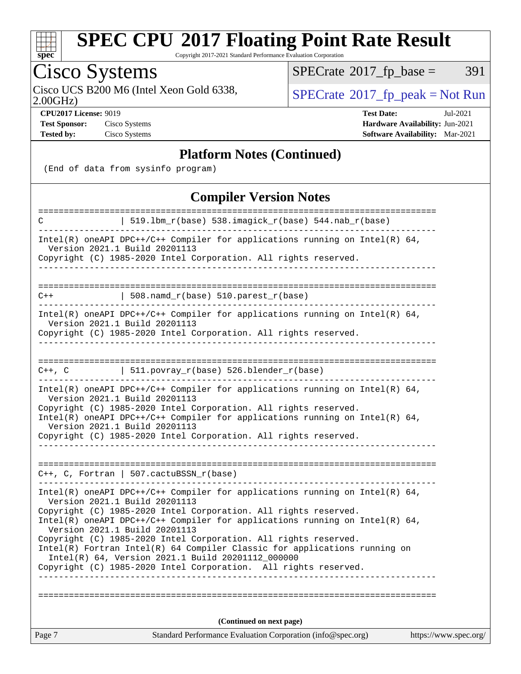

Copyright 2017-2021 Standard Performance Evaluation Corporation

# Cisco Systems

Cisco UCS B200 M6 (Intel Xeon Gold 6338,  $\sum_{\text{OPECrate}} 2017 \text{ p}$  peak = Not Run

 $SPECTate@2017_fp\_base = 391$ 

2.00GHz)

**[CPU2017 License:](http://www.spec.org/auto/cpu2017/Docs/result-fields.html#CPU2017License)** 9019 **[Test Date:](http://www.spec.org/auto/cpu2017/Docs/result-fields.html#TestDate)** Jul-2021 **[Test Sponsor:](http://www.spec.org/auto/cpu2017/Docs/result-fields.html#TestSponsor)** Cisco Systems **[Hardware Availability:](http://www.spec.org/auto/cpu2017/Docs/result-fields.html#HardwareAvailability)** Jun-2021 **[Tested by:](http://www.spec.org/auto/cpu2017/Docs/result-fields.html#Testedby)** Cisco Systems **[Software Availability:](http://www.spec.org/auto/cpu2017/Docs/result-fields.html#SoftwareAvailability)** Mar-2021

### **[Platform Notes \(Continued\)](http://www.spec.org/auto/cpu2017/Docs/result-fields.html#PlatformNotes)**

(End of data from sysinfo program)

### **[Compiler Version Notes](http://www.spec.org/auto/cpu2017/Docs/result-fields.html#CompilerVersionNotes)**

| Intel(R) oneAPI DPC++/C++ Compiler for applications running on Intel(R) $64$ ,<br>Version 2021.1 Build 20201113<br>Copyright (C) 1985-2020 Intel Corporation. All rights reserved.<br>  511.povray_r(base) 526.blender_r(base)<br>$C++$ , $C$<br>___________________<br>Intel(R) oneAPI DPC++/C++ Compiler for applications running on Intel(R) $64$ ,<br>Version 2021.1 Build 20201113<br>Copyright (C) 1985-2020 Intel Corporation. All rights reserved.<br>Intel(R) oneAPI DPC++/C++ Compiler for applications running on Intel(R) $64$ ,<br>Version 2021.1 Build 20201113<br>Copyright (C) 1985-2020 Intel Corporation. All rights reserved.<br>$C++$ , C, Fortran   507.cactuBSSN_r(base)<br>Intel(R) oneAPI DPC++/C++ Compiler for applications running on Intel(R) $64$ ,<br>Version 2021.1 Build 20201113<br>Copyright (C) 1985-2020 Intel Corporation. All rights reserved. |  |
|--------------------------------------------------------------------------------------------------------------------------------------------------------------------------------------------------------------------------------------------------------------------------------------------------------------------------------------------------------------------------------------------------------------------------------------------------------------------------------------------------------------------------------------------------------------------------------------------------------------------------------------------------------------------------------------------------------------------------------------------------------------------------------------------------------------------------------------------------------------------------------------|--|
|                                                                                                                                                                                                                                                                                                                                                                                                                                                                                                                                                                                                                                                                                                                                                                                                                                                                                      |  |
|                                                                                                                                                                                                                                                                                                                                                                                                                                                                                                                                                                                                                                                                                                                                                                                                                                                                                      |  |
|                                                                                                                                                                                                                                                                                                                                                                                                                                                                                                                                                                                                                                                                                                                                                                                                                                                                                      |  |
|                                                                                                                                                                                                                                                                                                                                                                                                                                                                                                                                                                                                                                                                                                                                                                                                                                                                                      |  |
|                                                                                                                                                                                                                                                                                                                                                                                                                                                                                                                                                                                                                                                                                                                                                                                                                                                                                      |  |
|                                                                                                                                                                                                                                                                                                                                                                                                                                                                                                                                                                                                                                                                                                                                                                                                                                                                                      |  |
|                                                                                                                                                                                                                                                                                                                                                                                                                                                                                                                                                                                                                                                                                                                                                                                                                                                                                      |  |
|                                                                                                                                                                                                                                                                                                                                                                                                                                                                                                                                                                                                                                                                                                                                                                                                                                                                                      |  |
|                                                                                                                                                                                                                                                                                                                                                                                                                                                                                                                                                                                                                                                                                                                                                                                                                                                                                      |  |
|                                                                                                                                                                                                                                                                                                                                                                                                                                                                                                                                                                                                                                                                                                                                                                                                                                                                                      |  |
| $\vert$ 508.namd_r(base) 510.parest_r(base)<br>$C++$                                                                                                                                                                                                                                                                                                                                                                                                                                                                                                                                                                                                                                                                                                                                                                                                                                 |  |
| Copyright (C) 1985-2020 Intel Corporation. All rights reserved.                                                                                                                                                                                                                                                                                                                                                                                                                                                                                                                                                                                                                                                                                                                                                                                                                      |  |
| Intel(R) oneAPI DPC++/C++ Compiler for applications running on Intel(R) $64$ ,<br>Version 2021.1 Build 20201113                                                                                                                                                                                                                                                                                                                                                                                                                                                                                                                                                                                                                                                                                                                                                                      |  |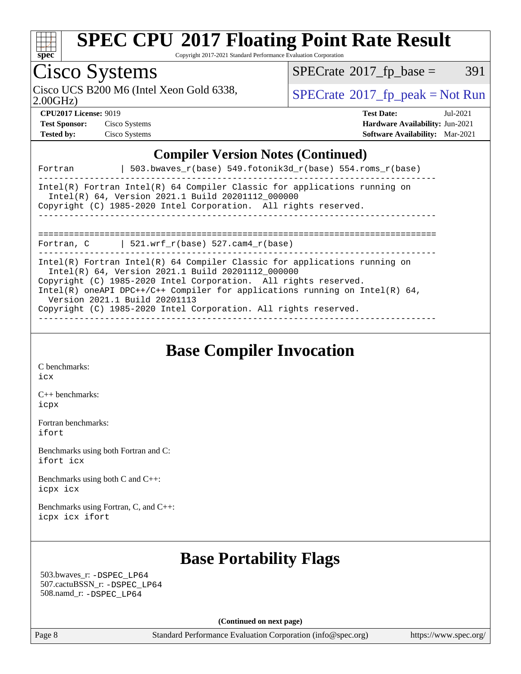

Copyright 2017-2021 Standard Performance Evaluation Corporation

#### Cisco Systems 2.00GHz) Cisco UCS B200 M6 (Intel Xeon Gold 6338,  $\vert$  [SPECrate](http://www.spec.org/auto/cpu2017/Docs/result-fields.html#SPECrate2017fppeak)®[2017\\_fp\\_peak = N](http://www.spec.org/auto/cpu2017/Docs/result-fields.html#SPECrate2017fppeak)ot Run  $SPECTate@2017_fp\_base = 391$ **[CPU2017 License:](http://www.spec.org/auto/cpu2017/Docs/result-fields.html#CPU2017License)** 9019 **[Test Date:](http://www.spec.org/auto/cpu2017/Docs/result-fields.html#TestDate)** Jul-2021 **[Test Sponsor:](http://www.spec.org/auto/cpu2017/Docs/result-fields.html#TestSponsor)** Cisco Systems **[Hardware Availability:](http://www.spec.org/auto/cpu2017/Docs/result-fields.html#HardwareAvailability)** Jun-2021 **[Tested by:](http://www.spec.org/auto/cpu2017/Docs/result-fields.html#Testedby)** Cisco Systems **[Software Availability:](http://www.spec.org/auto/cpu2017/Docs/result-fields.html#SoftwareAvailability)** Mar-2021 **[Compiler Version Notes \(Continued\)](http://www.spec.org/auto/cpu2017/Docs/result-fields.html#CompilerVersionNotes)** Fortran  $| 503.bwaves$  r(base) 549.fotonik3d r(base) 554.roms r(base) ------------------------------------------------------------------------------ Intel(R) Fortran Intel(R) 64 Compiler Classic for applications running on Intel(R) 64, Version 2021.1 Build 20201112\_000000

Copyright (C) 1985-2020 Intel Corporation. All rights reserved.

------------------------------------------------------------------------------

============================================================================== Fortran, C  $| 521.wrf_r(base) 527.cam4_r(base)$ 

------------------------------------------------------------------------------

Intel(R) Fortran Intel(R) 64 Compiler Classic for applications running on

 Intel(R) 64, Version 2021.1 Build 20201112\_000000 Copyright (C) 1985-2020 Intel Corporation. All rights reserved.

Intel(R) oneAPI DPC++/C++ Compiler for applications running on Intel(R) 64, Version 2021.1 Build 20201113

Copyright (C) 1985-2020 Intel Corporation. All rights reserved. ------------------------------------------------------------------------------

**[Base Compiler Invocation](http://www.spec.org/auto/cpu2017/Docs/result-fields.html#BaseCompilerInvocation)**

[C benchmarks](http://www.spec.org/auto/cpu2017/Docs/result-fields.html#Cbenchmarks): [icx](http://www.spec.org/cpu2017/results/res2021q3/cpu2017-20210720-28433.flags.html#user_CCbase_intel_icx_fe2d28d19ae2a5db7c42fe0f2a2aed77cb715edd4aeb23434404a8be6683fe239869bb6ca8154ca98265c2e3b9226a719a0efe2953a4a7018c379b7010ccf087)

[C++ benchmarks:](http://www.spec.org/auto/cpu2017/Docs/result-fields.html#CXXbenchmarks) [icpx](http://www.spec.org/cpu2017/results/res2021q3/cpu2017-20210720-28433.flags.html#user_CXXbase_intel_icpx_1e918ed14c436bf4b9b7c8bcdd51d4539fc71b3df010bd1e9f8732d9c34c2b2914e48204a846820f3c0ebb4095dea797a5c30b458ac0b6dffac65d78f781f5ca)

[Fortran benchmarks](http://www.spec.org/auto/cpu2017/Docs/result-fields.html#Fortranbenchmarks): [ifort](http://www.spec.org/cpu2017/results/res2021q3/cpu2017-20210720-28433.flags.html#user_FCbase_intel_ifort_8111460550e3ca792625aed983ce982f94888b8b503583aa7ba2b8303487b4d8a21a13e7191a45c5fd58ff318f48f9492884d4413fa793fd88dd292cad7027ca)

[Benchmarks using both Fortran and C](http://www.spec.org/auto/cpu2017/Docs/result-fields.html#BenchmarksusingbothFortranandC): [ifort](http://www.spec.org/cpu2017/results/res2021q3/cpu2017-20210720-28433.flags.html#user_CC_FCbase_intel_ifort_8111460550e3ca792625aed983ce982f94888b8b503583aa7ba2b8303487b4d8a21a13e7191a45c5fd58ff318f48f9492884d4413fa793fd88dd292cad7027ca) [icx](http://www.spec.org/cpu2017/results/res2021q3/cpu2017-20210720-28433.flags.html#user_CC_FCbase_intel_icx_fe2d28d19ae2a5db7c42fe0f2a2aed77cb715edd4aeb23434404a8be6683fe239869bb6ca8154ca98265c2e3b9226a719a0efe2953a4a7018c379b7010ccf087)

[Benchmarks using both C and C++](http://www.spec.org/auto/cpu2017/Docs/result-fields.html#BenchmarksusingbothCandCXX): [icpx](http://www.spec.org/cpu2017/results/res2021q3/cpu2017-20210720-28433.flags.html#user_CC_CXXbase_intel_icpx_1e918ed14c436bf4b9b7c8bcdd51d4539fc71b3df010bd1e9f8732d9c34c2b2914e48204a846820f3c0ebb4095dea797a5c30b458ac0b6dffac65d78f781f5ca) [icx](http://www.spec.org/cpu2017/results/res2021q3/cpu2017-20210720-28433.flags.html#user_CC_CXXbase_intel_icx_fe2d28d19ae2a5db7c42fe0f2a2aed77cb715edd4aeb23434404a8be6683fe239869bb6ca8154ca98265c2e3b9226a719a0efe2953a4a7018c379b7010ccf087)

[Benchmarks using Fortran, C, and C++:](http://www.spec.org/auto/cpu2017/Docs/result-fields.html#BenchmarksusingFortranCandCXX) [icpx](http://www.spec.org/cpu2017/results/res2021q3/cpu2017-20210720-28433.flags.html#user_CC_CXX_FCbase_intel_icpx_1e918ed14c436bf4b9b7c8bcdd51d4539fc71b3df010bd1e9f8732d9c34c2b2914e48204a846820f3c0ebb4095dea797a5c30b458ac0b6dffac65d78f781f5ca) [icx](http://www.spec.org/cpu2017/results/res2021q3/cpu2017-20210720-28433.flags.html#user_CC_CXX_FCbase_intel_icx_fe2d28d19ae2a5db7c42fe0f2a2aed77cb715edd4aeb23434404a8be6683fe239869bb6ca8154ca98265c2e3b9226a719a0efe2953a4a7018c379b7010ccf087) [ifort](http://www.spec.org/cpu2017/results/res2021q3/cpu2017-20210720-28433.flags.html#user_CC_CXX_FCbase_intel_ifort_8111460550e3ca792625aed983ce982f94888b8b503583aa7ba2b8303487b4d8a21a13e7191a45c5fd58ff318f48f9492884d4413fa793fd88dd292cad7027ca)

### **[Base Portability Flags](http://www.spec.org/auto/cpu2017/Docs/result-fields.html#BasePortabilityFlags)**

 503.bwaves\_r: [-DSPEC\\_LP64](http://www.spec.org/cpu2017/results/res2021q3/cpu2017-20210720-28433.flags.html#suite_basePORTABILITY503_bwaves_r_DSPEC_LP64) 507.cactuBSSN\_r: [-DSPEC\\_LP64](http://www.spec.org/cpu2017/results/res2021q3/cpu2017-20210720-28433.flags.html#suite_basePORTABILITY507_cactuBSSN_r_DSPEC_LP64) 508.namd\_r: [-DSPEC\\_LP64](http://www.spec.org/cpu2017/results/res2021q3/cpu2017-20210720-28433.flags.html#suite_basePORTABILITY508_namd_r_DSPEC_LP64)

**(Continued on next page)**

Page 8 Standard Performance Evaluation Corporation [\(info@spec.org\)](mailto:info@spec.org) <https://www.spec.org/>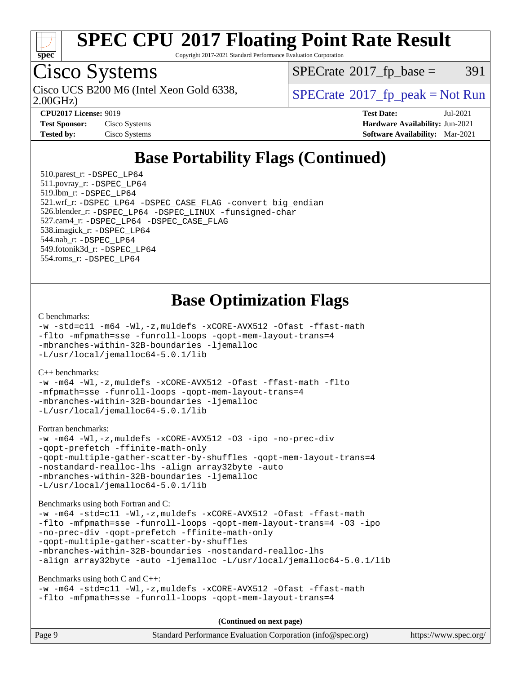

Copyright 2017-2021 Standard Performance Evaluation Corporation

### Cisco Systems

Cisco UCS B200 M6 (Intel Xeon Gold 6338,  $\vert$  [SPECrate](http://www.spec.org/auto/cpu2017/Docs/result-fields.html#SPECrate2017fppeak)®[2017\\_fp\\_peak = N](http://www.spec.org/auto/cpu2017/Docs/result-fields.html#SPECrate2017fppeak)ot Run

 $SPECTate@2017_fp\_base = 391$ 

2.00GHz)

**[Test Sponsor:](http://www.spec.org/auto/cpu2017/Docs/result-fields.html#TestSponsor)** Cisco Systems **[Hardware Availability:](http://www.spec.org/auto/cpu2017/Docs/result-fields.html#HardwareAvailability)** Jun-2021

**[CPU2017 License:](http://www.spec.org/auto/cpu2017/Docs/result-fields.html#CPU2017License)** 9019 **[Test Date:](http://www.spec.org/auto/cpu2017/Docs/result-fields.html#TestDate)** Jul-2021 **[Tested by:](http://www.spec.org/auto/cpu2017/Docs/result-fields.html#Testedby)** Cisco Systems **[Software Availability:](http://www.spec.org/auto/cpu2017/Docs/result-fields.html#SoftwareAvailability)** Mar-2021

### **[Base Portability Flags \(Continued\)](http://www.spec.org/auto/cpu2017/Docs/result-fields.html#BasePortabilityFlags)**

 510.parest\_r: [-DSPEC\\_LP64](http://www.spec.org/cpu2017/results/res2021q3/cpu2017-20210720-28433.flags.html#suite_basePORTABILITY510_parest_r_DSPEC_LP64) 511.povray\_r: [-DSPEC\\_LP64](http://www.spec.org/cpu2017/results/res2021q3/cpu2017-20210720-28433.flags.html#suite_basePORTABILITY511_povray_r_DSPEC_LP64) 519.lbm\_r: [-DSPEC\\_LP64](http://www.spec.org/cpu2017/results/res2021q3/cpu2017-20210720-28433.flags.html#suite_basePORTABILITY519_lbm_r_DSPEC_LP64) 521.wrf\_r: [-DSPEC\\_LP64](http://www.spec.org/cpu2017/results/res2021q3/cpu2017-20210720-28433.flags.html#suite_basePORTABILITY521_wrf_r_DSPEC_LP64) [-DSPEC\\_CASE\\_FLAG](http://www.spec.org/cpu2017/results/res2021q3/cpu2017-20210720-28433.flags.html#b521.wrf_r_baseCPORTABILITY_DSPEC_CASE_FLAG) [-convert big\\_endian](http://www.spec.org/cpu2017/results/res2021q3/cpu2017-20210720-28433.flags.html#user_baseFPORTABILITY521_wrf_r_convert_big_endian_c3194028bc08c63ac5d04de18c48ce6d347e4e562e8892b8bdbdc0214820426deb8554edfa529a3fb25a586e65a3d812c835984020483e7e73212c4d31a38223) 526.blender\_r: [-DSPEC\\_LP64](http://www.spec.org/cpu2017/results/res2021q3/cpu2017-20210720-28433.flags.html#suite_basePORTABILITY526_blender_r_DSPEC_LP64) [-DSPEC\\_LINUX](http://www.spec.org/cpu2017/results/res2021q3/cpu2017-20210720-28433.flags.html#b526.blender_r_baseCPORTABILITY_DSPEC_LINUX) [-funsigned-char](http://www.spec.org/cpu2017/results/res2021q3/cpu2017-20210720-28433.flags.html#user_baseCPORTABILITY526_blender_r_force_uchar_40c60f00ab013830e2dd6774aeded3ff59883ba5a1fc5fc14077f794d777847726e2a5858cbc7672e36e1b067e7e5c1d9a74f7176df07886a243d7cc18edfe67) 527.cam4\_r: [-DSPEC\\_LP64](http://www.spec.org/cpu2017/results/res2021q3/cpu2017-20210720-28433.flags.html#suite_basePORTABILITY527_cam4_r_DSPEC_LP64) [-DSPEC\\_CASE\\_FLAG](http://www.spec.org/cpu2017/results/res2021q3/cpu2017-20210720-28433.flags.html#b527.cam4_r_baseCPORTABILITY_DSPEC_CASE_FLAG) 538.imagick\_r: [-DSPEC\\_LP64](http://www.spec.org/cpu2017/results/res2021q3/cpu2017-20210720-28433.flags.html#suite_basePORTABILITY538_imagick_r_DSPEC_LP64) 544.nab\_r: [-DSPEC\\_LP64](http://www.spec.org/cpu2017/results/res2021q3/cpu2017-20210720-28433.flags.html#suite_basePORTABILITY544_nab_r_DSPEC_LP64) 549.fotonik3d\_r: [-DSPEC\\_LP64](http://www.spec.org/cpu2017/results/res2021q3/cpu2017-20210720-28433.flags.html#suite_basePORTABILITY549_fotonik3d_r_DSPEC_LP64) 554.roms\_r: [-DSPEC\\_LP64](http://www.spec.org/cpu2017/results/res2021q3/cpu2017-20210720-28433.flags.html#suite_basePORTABILITY554_roms_r_DSPEC_LP64)

### **[Base Optimization Flags](http://www.spec.org/auto/cpu2017/Docs/result-fields.html#BaseOptimizationFlags)**

#### [C benchmarks](http://www.spec.org/auto/cpu2017/Docs/result-fields.html#Cbenchmarks):

```
-w -std=c11 -m64 -Wl,-z,muldefs -xCORE-AVX512 -Ofast -ffast-math
-flto -mfpmath=sse -funroll-loops -qopt-mem-layout-trans=4
-mbranches-within-32B-boundaries -ljemalloc
-L/usr/local/jemalloc64-5.0.1/lib
```
#### [C++ benchmarks:](http://www.spec.org/auto/cpu2017/Docs/result-fields.html#CXXbenchmarks)

```
-w -m64 -Wl,-z,muldefs -xCORE-AVX512 -Ofast -ffast-math -flto
-mfpmath=sse -funroll-loops -qopt-mem-layout-trans=4
-mbranches-within-32B-boundaries -ljemalloc
-L/usr/local/jemalloc64-5.0.1/lib
```
#### [Fortran benchmarks](http://www.spec.org/auto/cpu2017/Docs/result-fields.html#Fortranbenchmarks):

```
-w -m64 -Wl,-z,muldefs -xCORE-AVX512 -O3 -ipo -no-prec-div
-qopt-prefetch -ffinite-math-only
-qopt-multiple-gather-scatter-by-shuffles -qopt-mem-layout-trans=4
-nostandard-realloc-lhs -align array32byte -auto
-mbranches-within-32B-boundaries -ljemalloc
-L/usr/local/jemalloc64-5.0.1/lib
```
[Benchmarks using both Fortran and C](http://www.spec.org/auto/cpu2017/Docs/result-fields.html#BenchmarksusingbothFortranandC):

```
-w -m64 -std=c11 -Wl,-z,muldefs -xCORE-AVX512 -Ofast -ffast-math
-flto -mfpmath=sse -funroll-loops -qopt-mem-layout-trans=4 -O3 -ipo
-no-prec-div -qopt-prefetch -ffinite-math-only
-qopt-multiple-gather-scatter-by-shuffles
-mbranches-within-32B-boundaries -nostandard-realloc-lhs
-align array32byte -auto -ljemalloc -L/usr/local/jemalloc64-5.0.1/lib
```
#### [Benchmarks using both C and C++](http://www.spec.org/auto/cpu2017/Docs/result-fields.html#BenchmarksusingbothCandCXX):

```
-w -m64 -std=c11 -Wl,-z,muldefs -xCORE-AVX512 -Ofast -ffast-math
-flto -mfpmath=sse -funroll-loops -qopt-mem-layout-trans=4
```
**(Continued on next page)**

| Page 9 | Standard Performance Evaluation Corporation (info@spec.org) | https://www.spec.org/ |
|--------|-------------------------------------------------------------|-----------------------|
|--------|-------------------------------------------------------------|-----------------------|